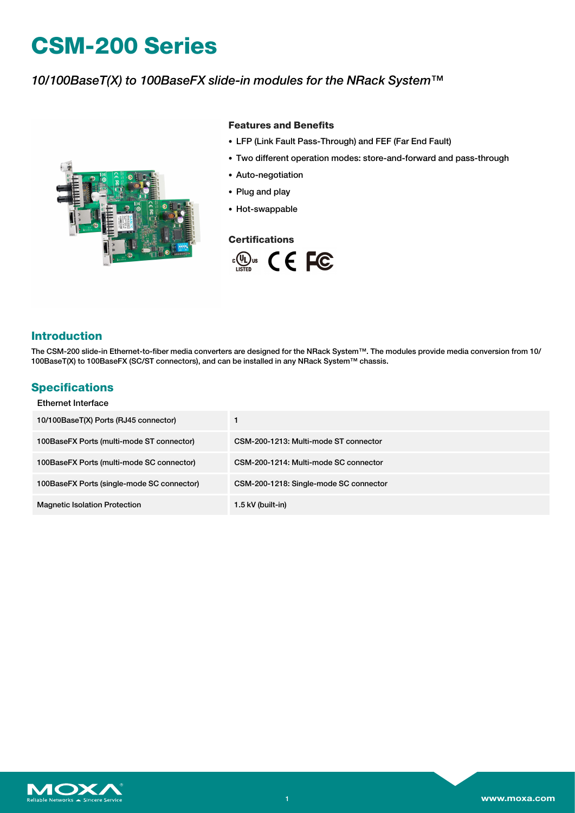# **CSM-200 Series**

## *10/100BaseT(X) to 100BaseFX slide-in modules for the NRack System™*



### **Features and Benefits**

- LFP (Link Fault Pass-Through) and FEF (Far End Fault)
- Two different operation modes: store-and-forward and pass-through
- Auto-negotiation
- Plug and play
- Hot-swappable

### **Certifications**



### **Introduction**

The CSM-200 slide-in Ethernet-to-fiber media converters are designed for the NRack System™. The modules provide media conversion from 10/ 100BaseT(X) to 100BaseFX (SC/ST connectors), and can be installed in any NRack System™ chassis.

### **Specifications**

| Ethernet Interface                         |                                        |
|--------------------------------------------|----------------------------------------|
| 10/100BaseT(X) Ports (RJ45 connector)      |                                        |
| 100BaseFX Ports (multi-mode ST connector)  | CSM-200-1213: Multi-mode ST connector  |
| 100BaseFX Ports (multi-mode SC connector)  | CSM-200-1214: Multi-mode SC connector  |
| 100BaseFX Ports (single-mode SC connector) | CSM-200-1218: Single-mode SC connector |
| <b>Magnetic Isolation Protection</b>       | 1.5 kV (built-in)                      |

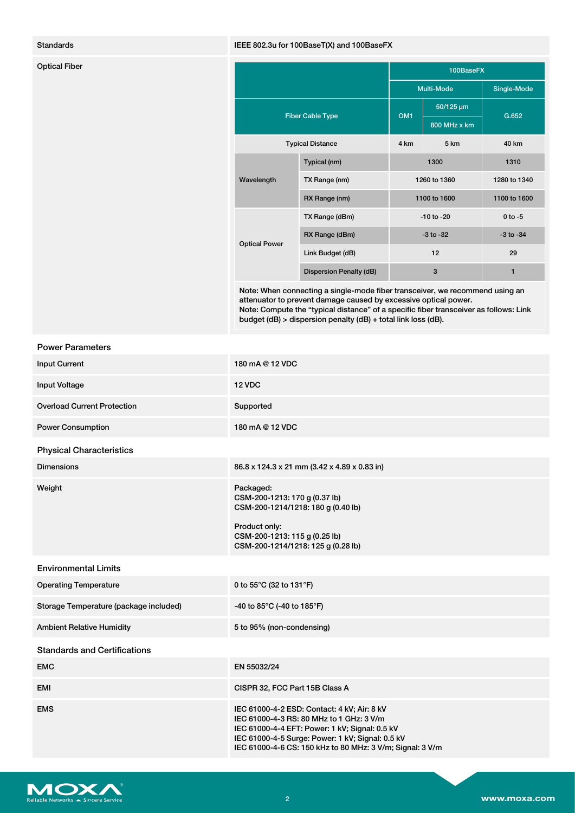### Standards IEEE 802.3u for 100BaseT(X) and 100BaseFX

| <b>Optical Fiber</b> |                         |                         | 100BaseFX       |                |                |
|----------------------|-------------------------|-------------------------|-----------------|----------------|----------------|
|                      |                         |                         | Multi-Mode      |                | Single-Mode    |
|                      | <b>Fiber Cable Type</b> |                         | OM <sub>1</sub> | 50/125 µm      | G.652          |
|                      |                         |                         |                 | 800 MHz x km   |                |
|                      |                         | <b>Typical Distance</b> | 4 km            | 5 km           | 40 km          |
|                      | Wavelength              | Typical (nm)            |                 | 1300           | 1310           |
|                      |                         | TX Range (nm)           |                 | 1260 to 1360   | 1280 to 1340   |
|                      |                         | RX Range (nm)           |                 | 1100 to 1600   | 1100 to 1600   |
|                      | <b>Optical Power</b>    | TX Range (dBm)          |                 | $-10$ to $-20$ | $0$ to $-5$    |
|                      |                         | RX Range (dBm)          |                 | $-3$ to $-32$  | $-3$ to $-34$  |
|                      |                         | Link Budget (dB)        |                 | 12             | 29             |
|                      |                         | Dispersion Penalty (dB) |                 | $\mathbf{3}$   | $\blacksquare$ |

Note: When connecting a single-mode fiber transceiver, we recommend using an attenuator to prevent damage caused by excessive optical power. Note: Compute the "typical distance" of a specific fiber transceiver as follows: Link budget (dB) > dispersion penalty (dB) + total link loss (dB).

### Power Parameters

| <b>Input Current</b>                   | 180 mA @ 12 VDC                                                                                                                                                                                                                                            |
|----------------------------------------|------------------------------------------------------------------------------------------------------------------------------------------------------------------------------------------------------------------------------------------------------------|
| <b>Input Voltage</b>                   | 12 VDC                                                                                                                                                                                                                                                     |
| <b>Overload Current Protection</b>     | Supported                                                                                                                                                                                                                                                  |
| <b>Power Consumption</b>               | 180 mA @ 12 VDC                                                                                                                                                                                                                                            |
| <b>Physical Characteristics</b>        |                                                                                                                                                                                                                                                            |
| <b>Dimensions</b>                      | 86.8 x 124.3 x 21 mm (3.42 x 4.89 x 0.83 in)                                                                                                                                                                                                               |
| Weight                                 | Packaged:<br>CSM-200-1213: 170 g (0.37 lb)<br>CSM-200-1214/1218: 180 g (0.40 lb)<br>Product only:<br>CSM-200-1213: 115 g (0.25 lb)<br>CSM-200-1214/1218: 125 g (0.28 lb)                                                                                   |
| <b>Environmental Limits</b>            |                                                                                                                                                                                                                                                            |
| <b>Operating Temperature</b>           | 0 to 55°C (32 to 131°F)                                                                                                                                                                                                                                    |
| Storage Temperature (package included) | -40 to 85°C (-40 to 185°F)                                                                                                                                                                                                                                 |
| <b>Ambient Relative Humidity</b>       | 5 to 95% (non-condensing)                                                                                                                                                                                                                                  |
| <b>Standards and Certifications</b>    |                                                                                                                                                                                                                                                            |
| <b>EMC</b>                             | EN 55032/24                                                                                                                                                                                                                                                |
| <b>EMI</b>                             | CISPR 32, FCC Part 15B Class A                                                                                                                                                                                                                             |
| <b>EMS</b>                             | IEC 61000-4-2 ESD: Contact: 4 kV; Air: 8 kV<br>IEC 61000-4-3 RS: 80 MHz to 1 GHz: 3 V/m<br>IEC 61000-4-4 EFT: Power: 1 kV; Signal: 0.5 kV<br>IEC 61000-4-5 Surge: Power: 1 kV; Signal: 0.5 kV<br>IEC 61000-4-6 CS: 150 kHz to 80 MHz: 3 V/m; Signal: 3 V/m |

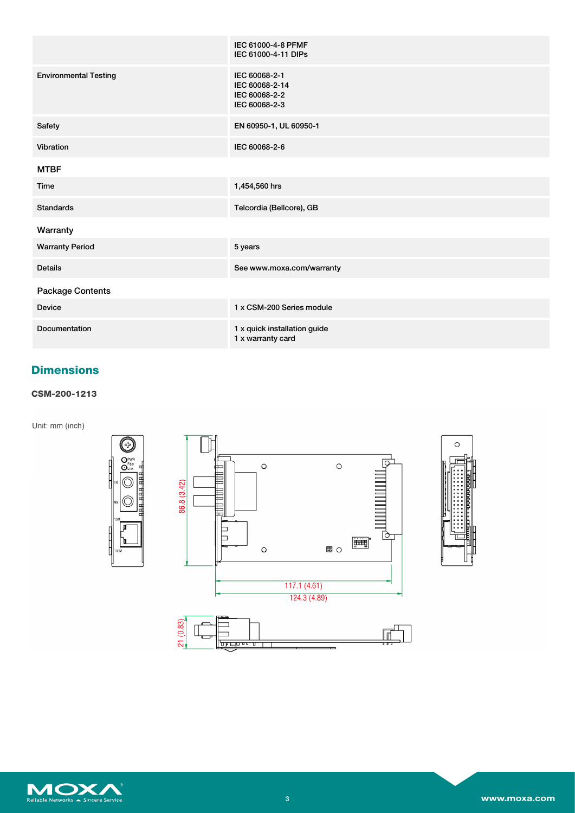|                              | IEC 61000-4-8 PFMF<br>IEC 61000-4-11 DIPs                         |
|------------------------------|-------------------------------------------------------------------|
| <b>Environmental Testing</b> | IEC 60068-2-1<br>IEC 60068-2-14<br>IEC 60068-2-2<br>IEC 60068-2-3 |
| Safety                       | EN 60950-1, UL 60950-1                                            |
| Vibration                    | IEC 60068-2-6                                                     |
| <b>MTBF</b>                  |                                                                   |
| Time                         | 1,454,560 hrs                                                     |
| <b>Standards</b>             | Telcordia (Bellcore), GB                                          |
| Warranty                     |                                                                   |
| <b>Warranty Period</b>       | 5 years                                                           |
| <b>Details</b>               | See www.moxa.com/warranty                                         |
| <b>Package Contents</b>      |                                                                   |
| <b>Device</b>                | 1 x CSM-200 Series module                                         |
| <b>Documentation</b>         | 1 x quick installation guide<br>1 x warranty card                 |

# **Dimensions**

### **CSM-200-1213**

Unit: mm (inch)





 $\circ$